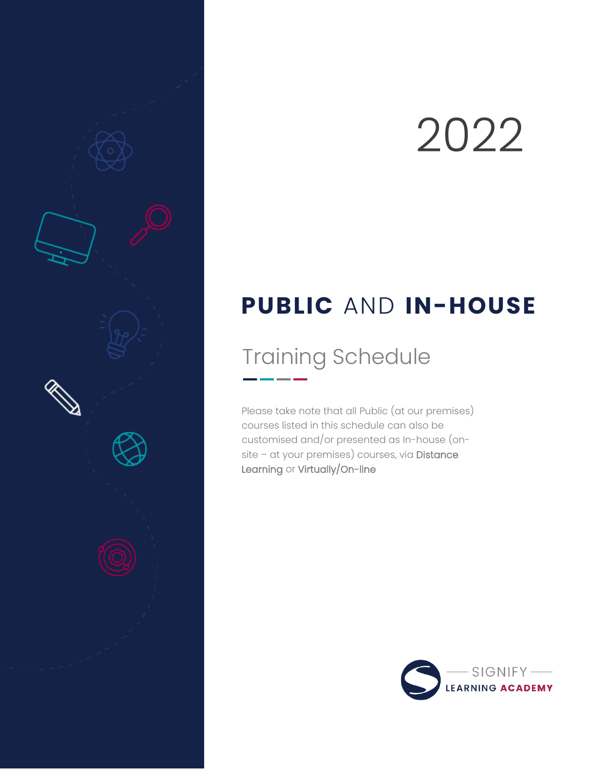# 2022

## **PUBLIC** AND **IN-HOUSE**

# Training Schedule

Please take note that all Public (at our premises) courses listed in this schedule can also be customised and/or presented as In-house (onsite – at your premises) courses, via Distance Learning or Virtually/On-line

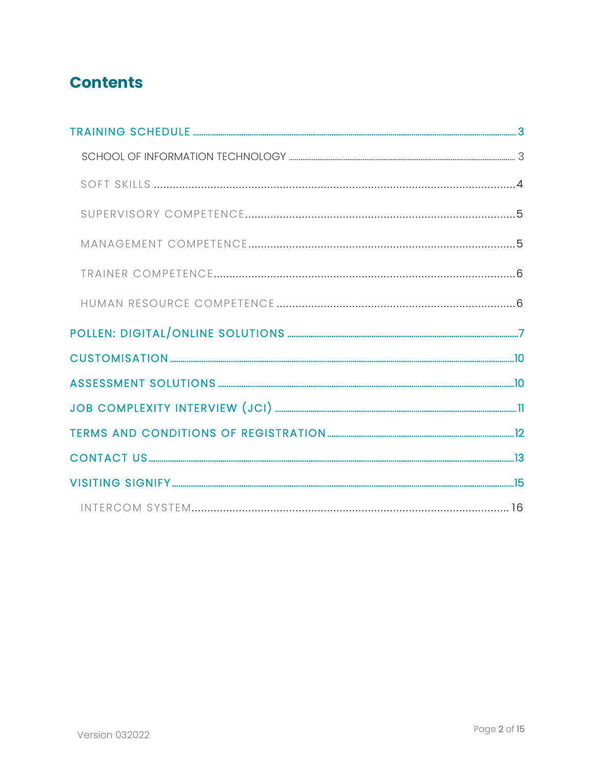## **Contents**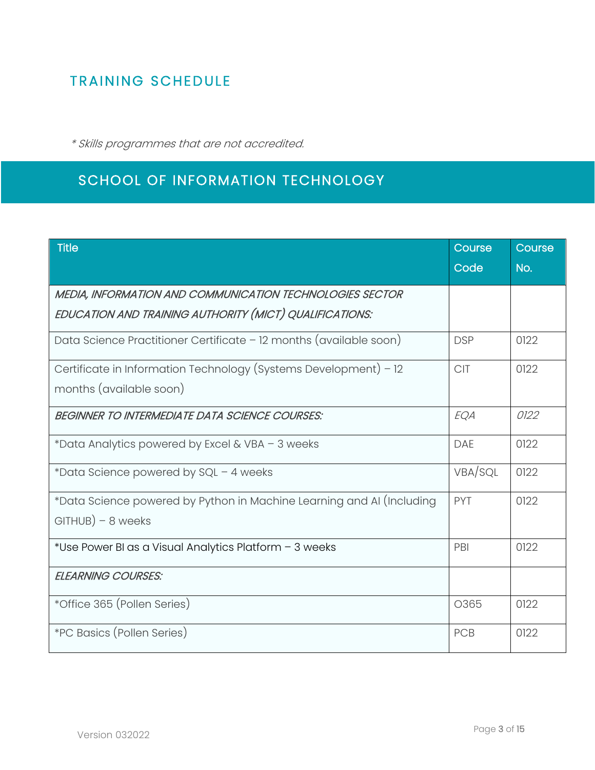## <span id="page-2-0"></span>TRAINING SCHEDULE

\* Skills programmes that are not accredited.

## SCHOOL OF INFORMATION TECHNOLOGY

| <b>Title</b>                                                          | Course     | Course |
|-----------------------------------------------------------------------|------------|--------|
|                                                                       | Code       | No.    |
| MEDIA, INFORMATION AND COMMUNICATION TECHNOLOGIES SECTOR              |            |        |
| EDUCATION AND TRAINING AUTHORITY (MICT) QUALIFICATIONS:               |            |        |
| Data Science Practitioner Certificate - 12 months (available soon)    | <b>DSP</b> | 0122   |
| Certificate in Information Technology (Systems Development) - 12      | <b>CIT</b> | 0122   |
| months (available soon)                                               |            |        |
| <b>BEGINNER TO INTERMEDIATE DATA SCIENCE COURSES:</b>                 | EQA        | 0122   |
| *Data Analytics powered by Excel & VBA - 3 weeks                      | <b>DAE</b> | 0122   |
| *Data Science powered by SQL - 4 weeks                                | VBA/SQL    | 0122   |
| *Data Science powered by Python in Machine Learning and AI (Including | <b>PYT</b> | 0122   |
| $GITHUB$ ) – 8 weeks                                                  |            |        |
| *Use Power BI as a Visual Analytics Platform - 3 weeks                | PBI        | 0122   |
| <b>ELEARNING COURSES:</b>                                             |            |        |
| *Office 365 (Pollen Series)                                           | O365       | 0122   |
| <i>*PC Basics (Pollen Series)</i>                                     | PCB        | 0122   |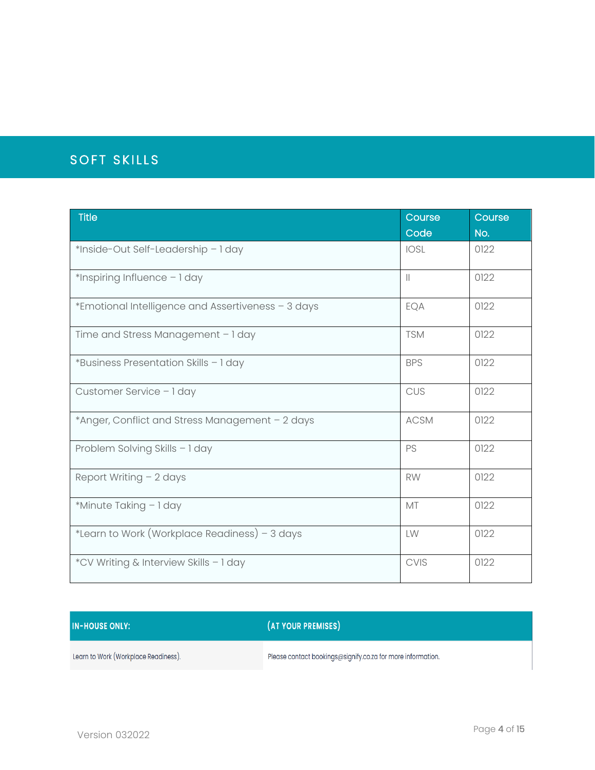## <span id="page-3-0"></span>SOFT SKILLS

| <b>Title</b>                                       | Course      | Course |
|----------------------------------------------------|-------------|--------|
|                                                    | Code        | No.    |
| *Inside-Out Self-Leadership - 1 day                | <b>IOSL</b> | 0122   |
| *Inspiring Influence - 1 day                       | $\parallel$ | 0122   |
| *Emotional Intelligence and Assertiveness - 3 days | EQA         | 0122   |
| Time and Stress Management - 1 day                 | <b>TSM</b>  | 0122   |
| *Business Presentation Skills - 1 day              | <b>BPS</b>  | 0122   |
| Customer Service - 1 day                           | CUS         | 0122   |
| *Anger, Conflict and Stress Management - 2 days    | <b>ACSM</b> | 0122   |
| Problem Solving Skills - 1 day                     | PS          | 0122   |
| Report Writing $-2$ days                           | <b>RW</b>   | 0122   |
| *Minute Taking - 1 day                             | <b>MT</b>   | 0122   |
| *Learn to Work (Workplace Readiness) – 3 days      | LW          | 0122   |
| *CV Writing & Interview Skills - 1 day             | <b>CVIS</b> | 0122   |

#### **IN-HOUSE ONLY:**

(AT YOUR PREMISES)

Learn to Work (Workplace Readiness).

Please contact bookings@signify.co.za for more information.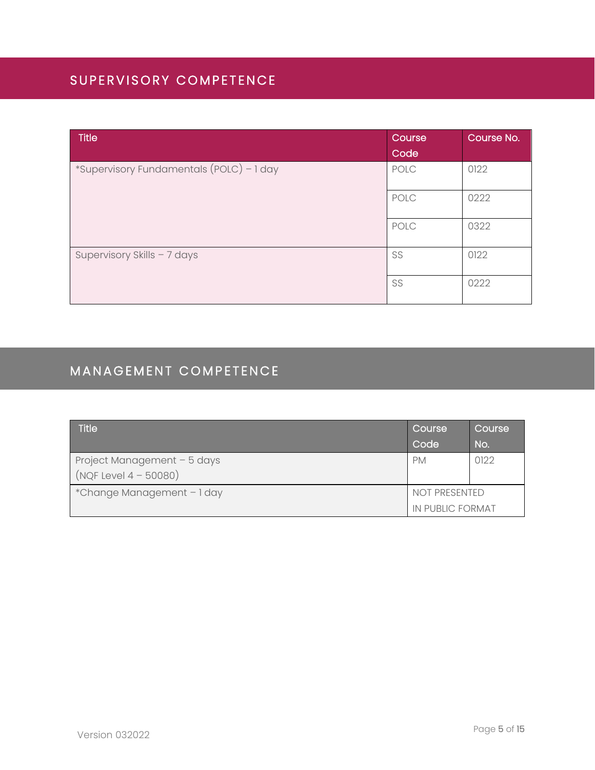### <span id="page-4-0"></span>SUPERVISORY COMPETENCE

| Title                                    | Course | Course No. |
|------------------------------------------|--------|------------|
|                                          | Code   |            |
| *Supervisory Fundamentals (POLC) - 1 day | POLC   | 0122       |
|                                          | POLC   | 0222       |
|                                          | POLC   | 0322       |
| Supervisory Skills - 7 days              | SS     | 0122       |
|                                          | SS     | 0222       |

## <span id="page-4-1"></span>MANAGEMENT COMPETENCE

| <b>Title</b>                | Course           | 'Course |
|-----------------------------|------------------|---------|
|                             | Code             | No.     |
| Project Management - 5 days | <b>PM</b>        | 0122    |
| $(NQF Level 4 - 50080)$     |                  |         |
| *Change Management - 1 day  | NOT PRESENTED    |         |
|                             | IN PUBLIC FORMAT |         |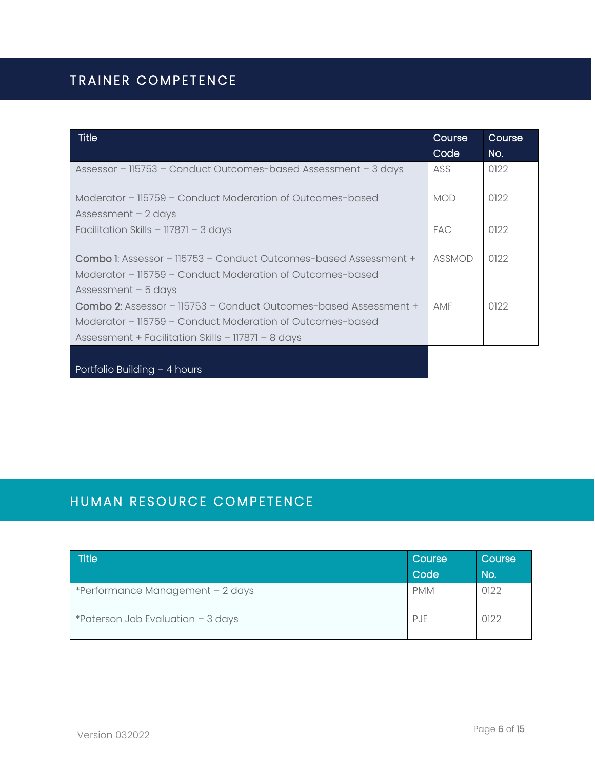## <span id="page-5-0"></span>TRAINER COMPETENCE

| <b>Title</b>                                                            | Course     | Course |
|-------------------------------------------------------------------------|------------|--------|
|                                                                         | Code       | No.    |
| Assessor - 115753 - Conduct Outcomes-based Assessment - 3 days          | ASS        | 0122   |
| Moderator - 115759 - Conduct Moderation of Outcomes-based               | <b>MOD</b> | 0122   |
| Assessment $-2$ days                                                    |            |        |
| Facilitation Skills - 117871 - 3 days                                   | <b>FAC</b> | 0122   |
| <b>Combo I:</b> Assessor - 115753 - Conduct Outcomes-based Assessment + | ASSMOD     | 0122   |
| Moderator - 115759 - Conduct Moderation of Outcomes-based               |            |        |
| Assessment $-5$ days                                                    |            |        |
| <b>Combo 2:</b> Assessor - 115753 - Conduct Outcomes-based Assessment + | <b>AMF</b> | 0122   |
| Moderator - 115759 - Conduct Moderation of Outcomes-based               |            |        |
| Assessment + Facilitation Skills - 117871 - 8 days                      |            |        |
|                                                                         |            |        |
| Portfolio Building $-$ 4 hours                                          |            |        |

### <span id="page-5-1"></span>HUMAN RESOURCE COMPETENCE

| <b>Title</b>                        | Course<br>Code | Course<br>No. |
|-------------------------------------|----------------|---------------|
| *Performance Management - 2 days    | <b>PMM</b>     | 0122          |
| *Paterson Job Evaluation $-$ 3 days | <b>PJE</b>     | 0122          |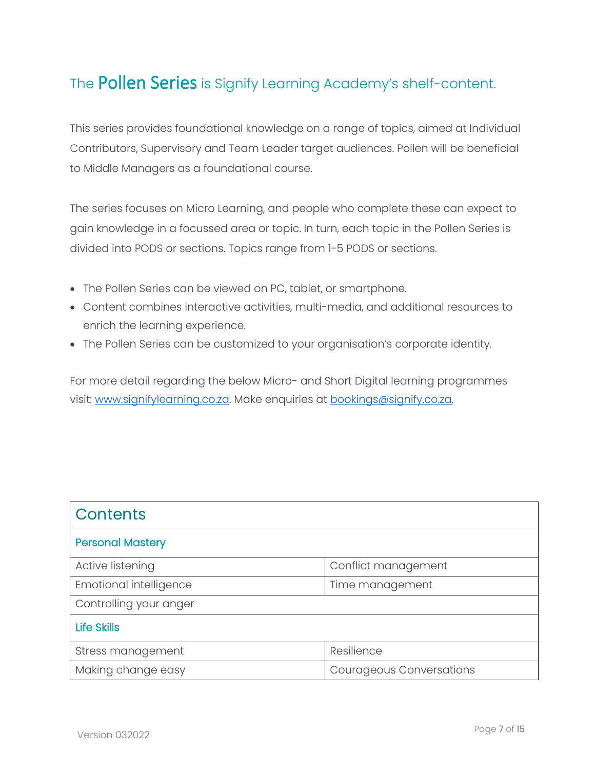## <span id="page-6-0"></span>The **Pollen Series** is Signify Learning Academy's shelf-content.

This series provides foundational knowledge on a range of topics, aimed at Individual Contributors, Supervisory and Team Leader target audiences. Pollen will be beneficial to Middle Managers as a foundational course.

The series focuses on Micro Learning, and people who complete these can expect to gain knowledge in a focussed area or topic. In turn, each topic in the Pollen Series is divided into PODS or sections. Topics range from 1-5 PODS or sections.

- The Pollen Series can be viewed on PC, tablet, or smartphone.
- Content combines interactive activities, multi-media, and additional resources to enrich the learning experience.
- The Pollen Series can be customized to your organisation's corporate identity.

For more detail regarding the below Micro- and Short Digital learning programmes visit: [www.signifylearning.co.za.](http://www.signifylearning.co.za/) Make enquiries at [bookings@signify.co.za.](mailto:bookings@signify.co.za)

| <b>Contents</b>               |                                 |
|-------------------------------|---------------------------------|
| <b>Personal Mastery</b>       |                                 |
| Active listening              | Conflict management             |
| <b>Emotional intelligence</b> | Time management                 |
| Controlling your anger        |                                 |
| <b>Life Skills</b>            |                                 |
| Stress management             | Resilience                      |
| Making change easy            | <b>Courageous Conversations</b> |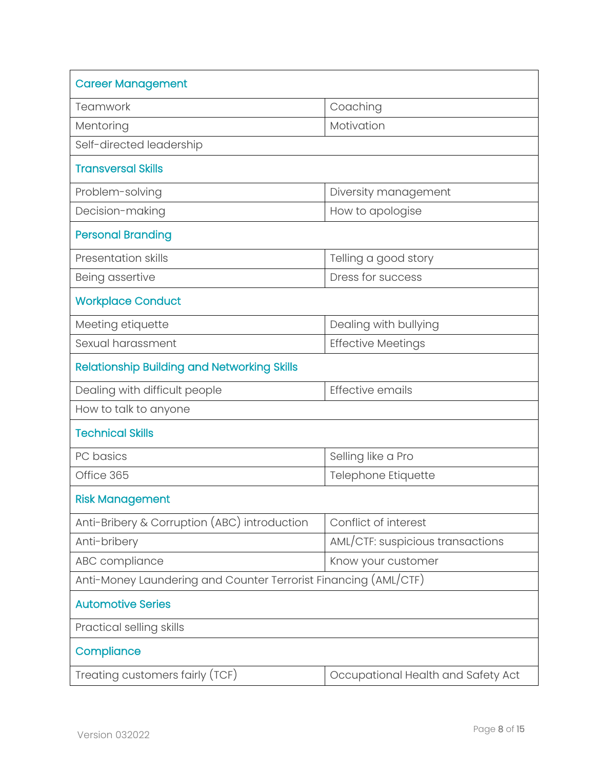| <b>Career Management</b>                                        |                                    |  |
|-----------------------------------------------------------------|------------------------------------|--|
| Teamwork                                                        | Coaching                           |  |
| Mentoring                                                       | Motivation                         |  |
| Self-directed leadership                                        |                                    |  |
| <b>Transversal Skills</b>                                       |                                    |  |
| Problem-solving                                                 | Diversity management               |  |
| Decision-making                                                 | How to apologise                   |  |
| <b>Personal Branding</b>                                        |                                    |  |
| <b>Presentation skills</b>                                      | Telling a good story               |  |
| Being assertive                                                 | Dress for success                  |  |
| <b>Workplace Conduct</b>                                        |                                    |  |
| Meeting etiquette                                               | Dealing with bullying              |  |
| Sexual harassment                                               | <b>Effective Meetings</b>          |  |
| <b>Relationship Building and Networking Skills</b>              |                                    |  |
| Dealing with difficult people                                   | Effective emails                   |  |
| How to talk to anyone                                           |                                    |  |
| <b>Technical Skills</b>                                         |                                    |  |
| PC basics                                                       | Selling like a Pro                 |  |
| Office 365                                                      | Telephone Etiquette                |  |
| <b>Risk Management</b>                                          |                                    |  |
| Anti-Bribery & Corruption (ABC) introduction                    | Conflict of interest               |  |
| Anti-bribery                                                    | AML/CTF: suspicious transactions   |  |
| ABC compliance                                                  | Know your customer                 |  |
| Anti-Money Laundering and Counter Terrorist Financing (AML/CTF) |                                    |  |
| <b>Automotive Series</b>                                        |                                    |  |
| Practical selling skills                                        |                                    |  |
| Compliance                                                      |                                    |  |
| Treating customers fairly (TCF)                                 | Occupational Health and Safety Act |  |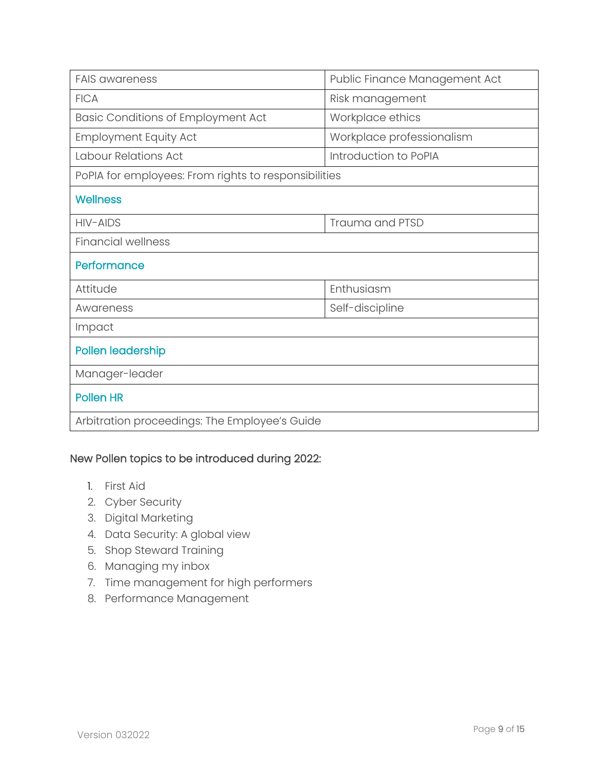| <b>FAIS awareness</b>                                | Public Finance Management Act |  |
|------------------------------------------------------|-------------------------------|--|
| <b>FICA</b>                                          | Risk management               |  |
| <b>Basic Conditions of Employment Act</b>            | Workplace ethics              |  |
| <b>Employment Equity Act</b>                         | Workplace professionalism     |  |
| Labour Relations Act                                 | Introduction to PoPIA         |  |
| PoPIA for employees: From rights to responsibilities |                               |  |
| <b>Wellness</b>                                      |                               |  |
| HIV-AIDS                                             | Trauma and PTSD               |  |
| <b>Financial wellness</b>                            |                               |  |
| Performance                                          |                               |  |
| Attitude                                             | Enthusiasm                    |  |
| Awareness                                            | Self-discipline               |  |
| Impact                                               |                               |  |
| Pollen leadership                                    |                               |  |
| Manager-leader                                       |                               |  |
| <b>Pollen HR</b>                                     |                               |  |
| Arbitration proceedings: The Employee's Guide        |                               |  |

#### New Pollen topics to be introduced during 2022:

- 1. First Aid
- 2. Cyber Security
- 3. Digital Marketing
- 4. Data Security: A global view
- 5. Shop Steward Training
- 6. Managing my inbox
- 7. Time management for high performers
- 8. Performance Management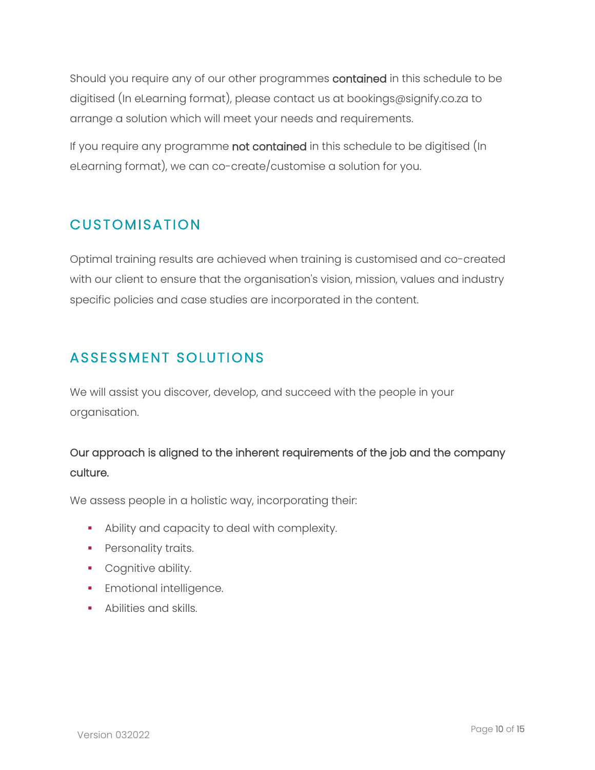Should you require any of our other programmes contained in this schedule to be digitised (In eLearning format), please contact us at bookings@signify.co.za to arrange a solution which will meet your needs and requirements.

If you require any programme not contained in this schedule to be digitised (In eLearning format), we can co-create/customise a solution for you.

#### <span id="page-9-0"></span>**CUSTOMISATION**

Optimal training results are achieved when training is customised and co-created with our client to ensure that the organisation's vision, mission, values and industry specific policies and case studies are incorporated in the content.

## <span id="page-9-1"></span>ASSESSMENT SOLUTIONS

We will assist you discover, develop, and succeed with the people in your organisation.

#### Our approach is aligned to the inherent requirements of the job and the company culture.

We assess people in a holistic way, incorporating their:

- Ability and capacity to deal with complexity.
- **•** Personality traits.
- **•** Cognitive ability.
- **•** Emotional intelligence.
- **Abilities and skills.**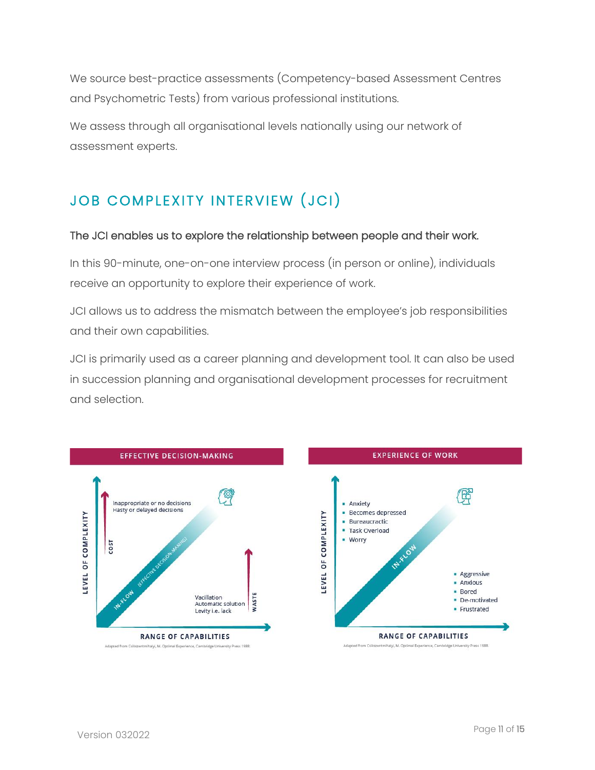We source best-practice assessments (Competency-based Assessment Centres and Psychometric Tests) from various professional institutions.

We assess through all organisational levels nationally using our network of assessment experts.

## <span id="page-10-0"></span>JOB COMPLEXITY INTERVIEW (JCI)

#### The JCI enables us to explore the relationship between people and their work.

In this 90-minute, one-on-one interview process (in person or online), individuals receive an opportunity to explore their experience of work.

JCI allows us to address the mismatch between the employee's job responsibilities and their own capabilities.

JCI is primarily used as a career planning and development tool. It can also be used in succession planning and organisational development processes for recruitment and selection.



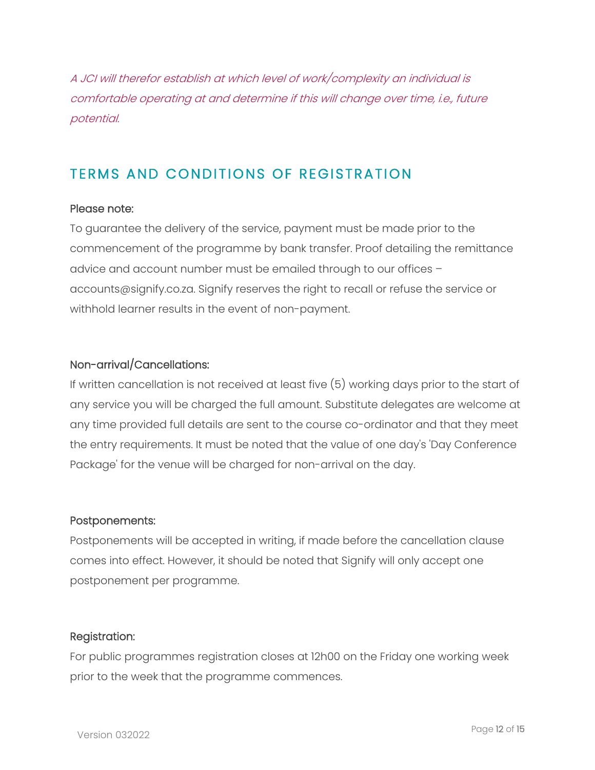A JCI will therefor establish at which level of work/complexity an individual is comfortable operating at and determine if this will change over time, i.e., future potential.

#### <span id="page-11-0"></span>TERMS AND CONDITIONS OF REGISTRATION

#### Please note:

To guarantee the delivery of the service, payment must be made prior to the commencement of the programme by bank transfer. Proof detailing the remittance advice and account number must be emailed through to our offices – accounts@signify.co.za. Signify reserves the right to recall or refuse the service or withhold learner results in the event of non-payment.

#### Non-arrival/Cancellations:

If written cancellation is not received at least five (5) working days prior to the start of any service you will be charged the full amount. Substitute delegates are welcome at any time provided full details are sent to the course co-ordinator and that they meet the entry requirements. It must be noted that the value of one day's 'Day Conference Package' for the venue will be charged for non-arrival on the day.

#### Postponements:

Postponements will be accepted in writing, if made before the cancellation clause comes into effect. However, it should be noted that Signify will only accept one postponement per programme.

#### Registration:

For public programmes registration closes at 12h00 on the Friday one working week prior to the week that the programme commences.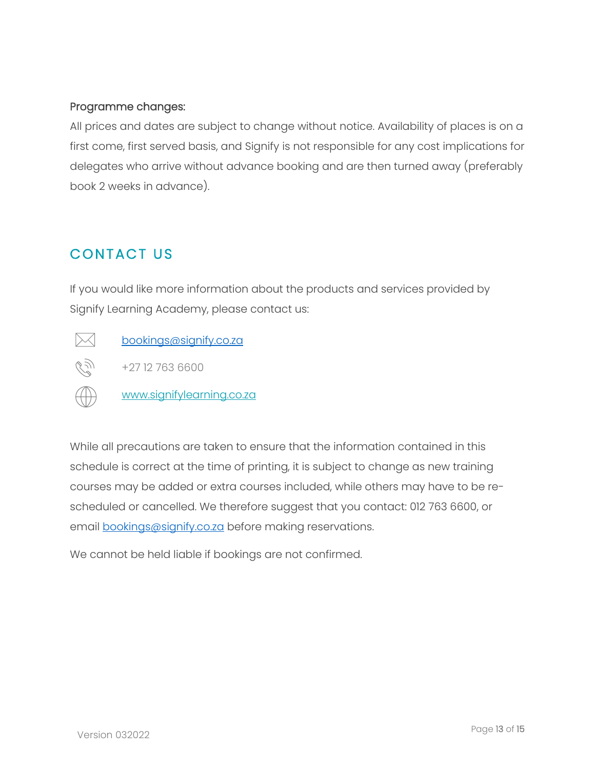#### Programme changes:

All prices and dates are subject to change without notice. Availability of places is on a first come, first served basis, and Signify is not responsible for any cost implications for delegates who arrive without advance booking and are then turned away (preferably book 2 weeks in advance).

## <span id="page-12-0"></span>CONTACT US

If you would like more information about the products and services provided by Signify Learning Academy, please contact us:

 $\times$ 

[bookings@signify.co.za](mailto:bookings@signify.co.za)

CS)<br>C +27 12 763 6600

[www.signifylearning.co.za](http://www.signifylearning.co.za/)

While all precautions are taken to ensure that the information contained in this schedule is correct at the time of printing, it is subject to change as new training courses may be added or extra courses included, while others may have to be rescheduled or cancelled. We therefore suggest that you contact: 012 763 6600, or email [bookings@signify.co.za](mailto:bookings@signify.co.za) before making reservations.

We cannot be held liable if bookings are not confirmed.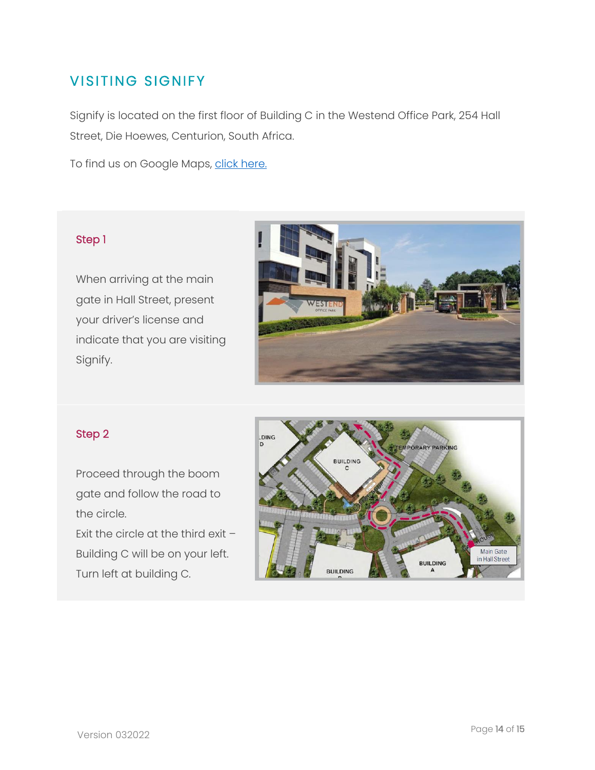## <span id="page-13-0"></span>**VISITING SIGNIFY**

Signify is located on the first floor of Building C in the Westend Office Park, 254 Hall Street, Die Hoewes, Centurion, South Africa.

To find us on Google Maps, [click here.](https://www.google.com/maps/place/Signify+Software/@-25.8457504,28.1806726,15.76z/data=!4m5!3m4!1s0x0:0x840ddf0bbcb2bd65!8m2!3d-25.8480496!4d28.1847644?shorturl=1)

#### Step 1

When arriving at the main gate in Hall Street, present your driver's license and indicate that you are visiting Signify.



#### Step 2

Proceed through the boom gate and follow the road to the circle.

Exit the circle at the third exit – Building C will be on your left. Turn left at building C.